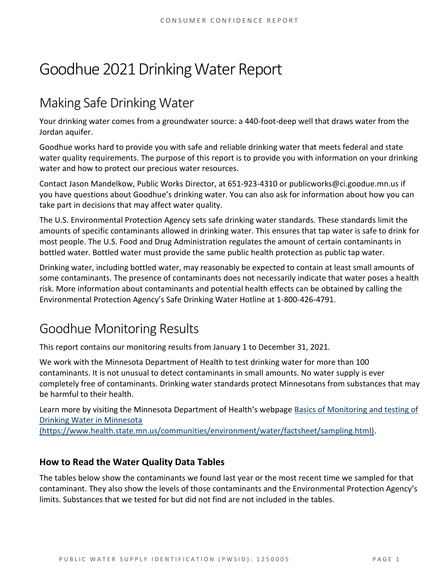# Goodhue 2021 Drinking Water Report

## Making Safe Drinking Water

Your drinking water comes from a groundwater source: a 440-foot-deep well that draws water from the Jordan aquifer.

Goodhue works hard to provide you with safe and reliable drinking water that meets federal and state water quality requirements. The purpose of this report is to provide you with information on your drinking water and how to protect our precious water resources.

Contact Jason Mandelkow, Public Works Director, at 651-923-4310 or publicworks@ci.goodue.mn.us if you have questions about Goodhue's drinking water. You can also ask for information about how you can take part in decisions that may affect water quality.

The U.S. Environmental Protection Agency sets safe drinking water standards. These standards limit the amounts of specific contaminants allowed in drinking water. This ensures that tap water is safe to drink for most people. The U.S. Food and Drug Administration regulates the amount of certain contaminants in bottled water. Bottled water must provide the same public health protection as public tap water.

Drinking water, including bottled water, may reasonably be expected to contain at least small amounts of some contaminants. The presence of contaminants does not necessarily indicate that water poses a health risk. More information about contaminants and potential health effects can be obtained by calling the Environmental Protection Agency's Safe Drinking Water Hotline at 1-800-426-4791.

## Goodhue Monitoring Results

This report contains our monitoring results from January 1 to December 31, 2021.

We work with the Minnesota Department of Health to test drinking water for more than 100 contaminants. It is not unusual to detect contaminants in small amounts. No water supply is ever completely free of contaminants. Drinking water standards protect Minnesotans from substances that may be harmful to their health.

Learn more by visiting the Minnesota Department of Health's webpage [Basics of Monitoring and testing of](https://www.health.state.mn.us/communities/environment/water/factsheet/sampling.html)  [Drinking Water in Minnesota](https://www.health.state.mn.us/communities/environment/water/factsheet/sampling.html) 

[\(https://www.health.state.mn.us/communities/environment/water/factsheet/sampling.html\).](https://www.health.state.mn.us/communities/environment/water/factsheet/sampling.html)

## **How to Read the Water Quality Data Tables**

The tables below show the contaminants we found last year or the most recent time we sampled for that contaminant. They also show the levels of those contaminants and the Environmental Protection Agency's limits. Substances that we tested for but did not find are not included in the tables.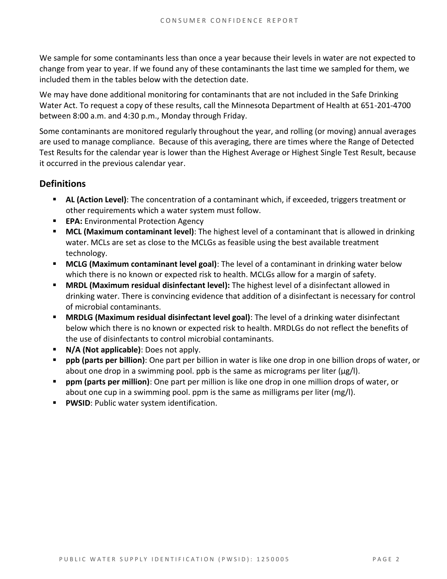We sample for some contaminants less than once a year because their levels in water are not expected to change from year to year. If we found any of these contaminants the last time we sampled for them, we included them in the tables below with the detection date.

We may have done additional monitoring for contaminants that are not included in the Safe Drinking Water Act. To request a copy of these results, call the Minnesota Department of Health at 651-201-4700 between 8:00 a.m. and 4:30 p.m., Monday through Friday.

Some contaminants are monitored regularly throughout the year, and rolling (or moving) annual averages are used to manage compliance. Because of this averaging, there are times where the Range of Detected Test Results for the calendar year is lower than the Highest Average or Highest Single Test Result, because it occurred in the previous calendar year.

### **Definitions**

- AL (Action Level): The concentration of a contaminant which, if exceeded, triggers treatment or other requirements which a water system must follow.
- **EPA:** Environmental Protection Agency
- **MCL (Maximum contaminant level)**: The highest level of a contaminant that is allowed in drinking water. MCLs are set as close to the MCLGs as feasible using the best available treatment technology.
- **MCLG (Maximum contaminant level goal)**: The level of a contaminant in drinking water below which there is no known or expected risk to health. MCLGs allow for a margin of safety.
- **MRDL (Maximum residual disinfectant level):** The highest level of a disinfectant allowed in drinking water. There is convincing evidence that addition of a disinfectant is necessary for control of microbial contaminants.
- **MRDLG (Maximum residual disinfectant level goal)**: The level of a drinking water disinfectant below which there is no known or expected risk to health. MRDLGs do not reflect the benefits of the use of disinfectants to control microbial contaminants.
- **N/A (Not applicable)**: Does not apply.
- **ppb (parts per billion)**: One part per billion in water is like one drop in one billion drops of water, or about one drop in a swimming pool. ppb is the same as micrograms per liter ( $\mu$ g/l).
- **ppm (parts per million)**: One part per million is like one drop in one million drops of water, or about one cup in a swimming pool. ppm is the same as milligrams per liter (mg/l).
- **PWSID: Public water system identification.**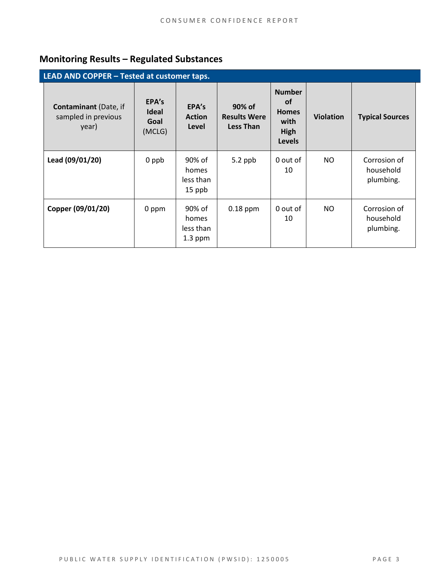## **Monitoring Results – Regulated Substances**

| LEAD AND COPPER - Tested at customer taps.                   |                                         |                                           |                                                   |                                                                             |                  |                                        |  |
|--------------------------------------------------------------|-----------------------------------------|-------------------------------------------|---------------------------------------------------|-----------------------------------------------------------------------------|------------------|----------------------------------------|--|
| <b>Contaminant</b> (Date, if<br>sampled in previous<br>year) | EPA's<br><b>Ideal</b><br>Goal<br>(MCLG) | EPA's<br><b>Action</b><br>Level           | 90% of<br><b>Results Were</b><br><b>Less Than</b> | <b>Number</b><br><b>of</b><br><b>Homes</b><br>with<br>High<br><b>Levels</b> | <b>Violation</b> | <b>Typical Sources</b>                 |  |
| Lead (09/01/20)                                              | 0 ppb                                   | 90% of<br>homes<br>less than<br>15 ppb    | $5.2$ ppb                                         | 0 out of<br>10                                                              | NO.              | Corrosion of<br>household<br>plumbing. |  |
| Copper (09/01/20)                                            | 0 ppm                                   | 90% of<br>homes<br>less than<br>$1.3$ ppm | $0.18$ ppm                                        | 0 out of<br>10                                                              | NO.              | Corrosion of<br>household<br>plumbing. |  |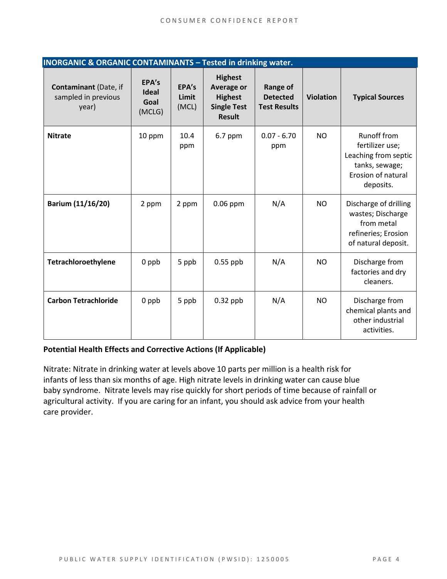| <b>INORGANIC &amp; ORGANIC CONTAMINANTS - Tested in drinking water.</b> |                                         |                         |                                                                                              |                                                    |                  |                                                                                                                    |  |
|-------------------------------------------------------------------------|-----------------------------------------|-------------------------|----------------------------------------------------------------------------------------------|----------------------------------------------------|------------------|--------------------------------------------------------------------------------------------------------------------|--|
| <b>Contaminant (Date, if</b><br>sampled in previous<br>year)            | EPA's<br><b>Ideal</b><br>Goal<br>(MCLG) | EPA's<br>Limit<br>(MCL) | <b>Highest</b><br><b>Average or</b><br><b>Highest</b><br><b>Single Test</b><br><b>Result</b> | Range of<br><b>Detected</b><br><b>Test Results</b> | <b>Violation</b> | <b>Typical Sources</b>                                                                                             |  |
| <b>Nitrate</b>                                                          | 10 ppm                                  | 10.4<br>ppm             | 6.7 ppm                                                                                      | $0.07 - 6.70$<br>ppm                               | N <sub>O</sub>   | <b>Runoff from</b><br>fertilizer use;<br>Leaching from septic<br>tanks, sewage;<br>Erosion of natural<br>deposits. |  |
| Barium (11/16/20)                                                       | 2 ppm                                   | 2 ppm                   | $0.06$ ppm                                                                                   | N/A                                                | <b>NO</b>        | Discharge of drilling<br>wastes; Discharge<br>from metal<br>refineries; Erosion<br>of natural deposit.             |  |
| Tetrachloroethylene                                                     | $0$ ppb                                 | 5 ppb                   | $0.55$ ppb                                                                                   | N/A                                                | N <sub>O</sub>   | Discharge from<br>factories and dry<br>cleaners.                                                                   |  |
| <b>Carbon Tetrachloride</b>                                             | 0 ppb                                   | 5 ppb                   | $0.32$ ppb                                                                                   | N/A                                                | N <sub>O</sub>   | Discharge from<br>chemical plants and<br>other industrial<br>activities.                                           |  |

#### **Potential Health Effects and Corrective Actions (If Applicable)**

Nitrate: Nitrate in drinking water at levels above 10 parts per million is a health risk for infants of less than six months of age. High nitrate levels in drinking water can cause blue baby syndrome. Nitrate levels may rise quickly for short periods of time because of rainfall or agricultural activity. If you are caring for an infant, you should ask advice from your health care provider.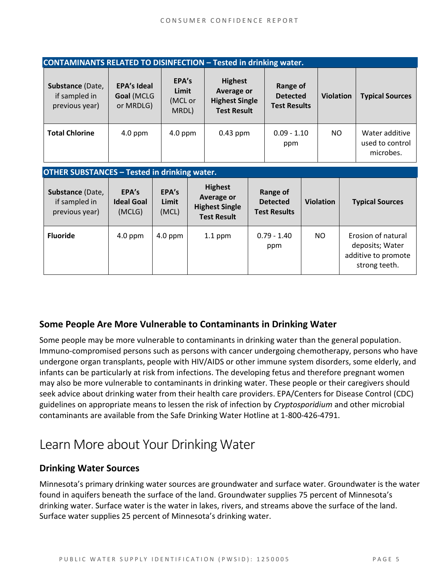| <b>CONTAMINANTS RELATED TO DISINFECTION - Tested in drinking water.</b> |                                               |                                    |                                                                             |                                                    |                  |                                                |  |
|-------------------------------------------------------------------------|-----------------------------------------------|------------------------------------|-----------------------------------------------------------------------------|----------------------------------------------------|------------------|------------------------------------------------|--|
| Substance (Date,<br>if sampled in<br>previous year)                     | <b>EPA's Ideal</b><br>Goal (MCLG<br>or MRDLG) | EPA's<br>Limit<br>(MCL or<br>MRDL) | <b>Highest</b><br>Average or<br><b>Highest Single</b><br><b>Test Result</b> | Range of<br><b>Detected</b><br><b>Test Results</b> | <b>Violation</b> | <b>Typical Sources</b>                         |  |
| <b>Total Chlorine</b>                                                   | $4.0$ ppm                                     | $4.0$ ppm                          | $0.43$ ppm                                                                  | $0.09 - 1.10$<br>ppm                               | NO.              | Water additive<br>used to control<br>microbes. |  |

#### **OTHER SUBSTANCES – Tested in drinking water.**

| Substance (Date,<br>if sampled in<br>previous year) | EPA's<br><b>Ideal Goal</b><br>(MCLG) | EPA's<br>Limit<br>(MCL) | <b>Highest</b><br><b>Average or</b><br><b>Highest Single</b><br><b>Test Result</b> | Range of<br><b>Detected</b><br><b>Test Results</b> | <b>Violation</b> | <b>Typical Sources</b>                                                        |
|-----------------------------------------------------|--------------------------------------|-------------------------|------------------------------------------------------------------------------------|----------------------------------------------------|------------------|-------------------------------------------------------------------------------|
| <b>Fluoride</b>                                     | $4.0$ ppm                            | $4.0$ ppm               | $1.1$ ppm                                                                          | $0.79 - 1.40$<br>ppm                               | NO.              | Erosion of natural<br>deposits; Water<br>additive to promote<br>strong teeth. |

### **Some People Are More Vulnerable to Contaminants in Drinking Water**

Some people may be more vulnerable to contaminants in drinking water than the general population. Immuno-compromised persons such as persons with cancer undergoing chemotherapy, persons who have undergone organ transplants, people with HIV/AIDS or other immune system disorders, some elderly, and infants can be particularly at risk from infections. The developing fetus and therefore pregnant women may also be more vulnerable to contaminants in drinking water. These people or their caregivers should seek advice about drinking water from their health care providers. EPA/Centers for Disease Control (CDC) guidelines on appropriate means to lessen the risk of infection by *Cryptosporidium* and other microbial contaminants are available from the Safe Drinking Water Hotline at 1-800-426-4791.

## Learn More about Your Drinking Water

### **Drinking Water Sources**

Minnesota's primary drinking water sources are groundwater and surface water. Groundwater is the water found in aquifers beneath the surface of the land. Groundwater supplies 75 percent of Minnesota's drinking water. Surface water is the water in lakes, rivers, and streams above the surface of the land. Surface water supplies 25 percent of Minnesota's drinking water.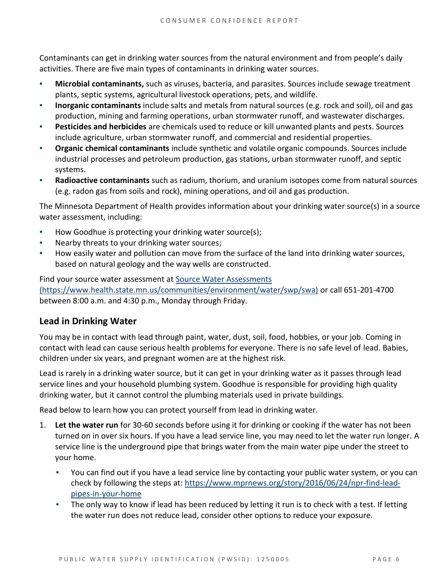Contaminants can get in drinking water sources from the natural environment and from people's daily activities. There are five main types of contaminants in drinking water sources.

- **Microbial contaminants,** such as viruses, bacteria, and parasites. Sources include sewage treatment plants, septic systems, agricultural livestock operations, pets, and wildlife.
- **Inorganic contaminants** include salts and metals from natural sources (e.g. rock and soil), oil and gas production, mining and farming operations, urban stormwater runoff, and wastewater discharges.
- **Pesticides and herbicides** are chemicals used to reduce or kill unwanted plants and pests. Sources include agriculture, urban stormwater runoff, and commercial and residential properties.
- Organic chemical contaminants include synthetic and volatile organic compounds. Sources include industrial processes and petroleum production, gas stations, urban stormwater runoff, and septic systems.
- Radioactive contaminants such as radium, thorium, and uranium isotopes come from natural sources (e.g. radon gas from soils and rock), mining operations, and oil and gas production.

The Minnesota Department of Health provides information about your drinking water source(s) in a source water assessment, including:

- How Goodhue is protecting your drinking water source(s);
- Nearby threats to your drinking water sources;
- How easily water and pollution can move from the surface of the land into drinking water sources, based on natural geology and the way wells are constructed.

Find your source water assessment at [Source Water Assessments](https://www.health.state.mn.us/communities/environment/water/swp/swa)  [\(https://www.health.state.mn.us/communities/environment/water/swp/swa\)](https://www.health.state.mn.us/communities/environment/water/swp/swa) or call 651-201-4700 between 8:00 a.m. and 4:30 p.m., Monday through Friday.

### **Lead in Drinking Water**

You may be in contact with lead through paint, water, dust, soil, food, hobbies, or your job. Coming in contact with lead can cause serious health problems for everyone. There is no safe level of lead. Babies, children under six years, and pregnant women are at the highest risk.

Lead is rarely in a drinking water source, but it can get in your drinking water as it passes through lead service lines and your household plumbing system. Goodhue is responsible for providing high quality drinking water, but it cannot control the plumbing materials used in private buildings.

Read below to learn how you can protect yourself from lead in drinking water.

- 1. **Let the water run** for 30-60 seconds before using it for drinking or cooking if the water has not been turned on in over six hours. If you have a lead service line, you may need to let the water run longer. A service line is the underground pipe that brings water from the main water pipe under the street to your home.
	- You can find out if you have a lead service line by contacting your public water system, or you can check by following the steps at: [https://www.mprnews.org/story/2016/06/24/npr-find-lead](https://www.mprnews.org/story/2016/06/24/npr-find-lead-pipes-in-your-home)[pipes-in-your-home](https://www.mprnews.org/story/2016/06/24/npr-find-lead-pipes-in-your-home)
	- **•** The only way to know if lead has been reduced by letting it run is to check with a test. If letting the water run does not reduce lead, consider other options to reduce your exposure.